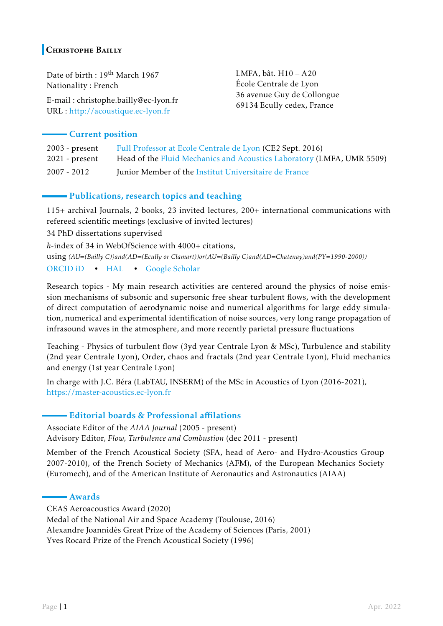## **CHRISTOPHE BAILLY**

Date of birth : 19<sup>th</sup> March 1967 Nationality : French

E-mail : christophe.bailly@ec-lyon.fr URL : [http://acoustique.ec-lyon.fr](https://acoustique.ec-lyon.fr/christophe.bailly.php)

LMFA, bât. H10 – A20 École Centrale de Lyon 36 avenue Guy de Collongue 69134 Ecully cedex, France

## Current position

| $2003$ - present | Full Professor at Ecole Centrale de Lyon (CE2 Sept. 2016)             |
|------------------|-----------------------------------------------------------------------|
| $2021$ - present | Head of the Fluid Mechanics and Acoustics Laboratory (LMFA, UMR 5509) |
| 2007 - 2012      | Junior Member of the Institut Universitaire de France                 |

## Publications, research topics and teaching

115+ archival Journals, 2 books, 23 invited lectures, 200+ international communications with refereed scientific meetings (exclusive of invited lectures)

34 PhD dissertations supervised

*h*-index of 34 in WebOfScience with 4000+ citations, using *(AU=(Bailly C))and(AD=(Ecully or Clamart))or(AU=(Bailly C)and(AD=Chatenay)and(PY=1990-2000))* [ORCID iD](https://orcid.org/0000-0001-8679-9033) • [HAL](https://cv.archives-ouvertes.fr/christophe-bailly) • [Google Scholar](https://scholar.google.com/citations?hl=en&user=vX9eqtgAAAAJ)

Research topics - My main research activities are centered around the physics of noise emission mechanisms of subsonic and supersonic free shear turbulent flows, with the development of direct computation of aerodynamic noise and numerical algorithms for large eddy simulation, numerical and experimental identification of noise sources, very long range propagation of infrasound waves in the atmosphere, and more recently parietal pressure fluctuations

Teaching - Physics of turbulent flow (3yd year Centrale Lyon & MSc), Turbulence and stability (2nd year Centrale Lyon), Order, chaos and fractals (2nd year Centrale Lyon), Fluid mechanics and energy (1st year Centrale Lyon)

In charge with J.C. Béra (LabTAU, INSERM) of the MSc in Acoustics of Lyon (2016-2021), <https://master-acoustics.ec-lyon.fr>

## Editorial boards & Professional affilations

Associate Editor of the *AIAA Journal* (2005 - present) Advisory Editor, *Flow, Turbulence and Combustion* (dec 2011 - present)

Member of the French Acoustical Society (SFA, head of Aero- and Hydro-Acoustics Group 2007-2010), of the French Society of Mechanics (AFM), of the European Mechanics Society (Euromech), and of the American Institute of Aeronautics and Astronautics (AIAA)

#### Awards

CEAS Aeroacoustics Award (2020) Medal of the National Air and Space Academy (Toulouse, 2016) Alexandre Joannidès Great Prize of the Academy of Sciences (Paris, 2001) Yves Rocard Prize of the French Acoustical Society (1996)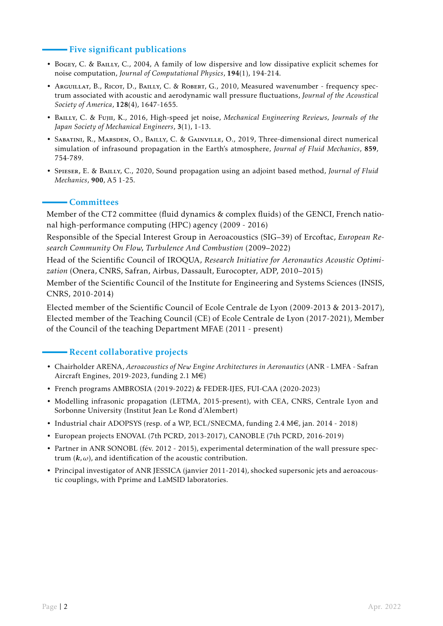## - Five significant publications

- Bogey, C. & Bailly, C., 2004, A family of low dispersive and low dissipative explicit schemes for noise computation, *Journal of Computational Physics*, 194(1), 194-214.
- Arguillat, B., Ricot, D., Bailly, C. & Robert, G., 2010, Measured wavenumber frequency spectrum associated with acoustic and aerodynamic wall pressure fluctuations, *Journal of the Acoustical Society of America*, 128(4), 1647-1655.
- Bailly, C. & Fujii, K., 2016, High-speed jet noise, *Mechanical Engineering Reviews, Journals of the Japan Society of Mechanical Engineers*, 3(1), 1-13.
- Sabatini, R., Marsden, O., Bailly, C. & Gainville, O., 2019, Three-dimensional direct numerical simulation of infrasound propagation in the Earth's atmosphere, *Journal of Fluid Mechanics*, 859, 754-789.
- Spieser, E. & Bailly, C., 2020, Sound propagation using an adjoint based method, *Journal of Fluid Mechanics*, 900, A5 1-25.

## Committees

Member of the CT2 committee (fluid dynamics & complex fluids) of the GENCI, French national high-performance computing (HPC) agency (2009 - 2016)

Responsible of the Special Interest Group in Aeroacoustics (SIG–39) of Ercoftac, *European Research Community On Flow, Turbulence And Combustion* (2009–2022)

Head of the Scientific Council of IROQUA, *Research Initiative for Aeronautics Acoustic Optimization* (Onera, CNRS, Safran, Airbus, Dassault, Eurocopter, ADP, 2010–2015)

Member of the Scientific Council of the Institute for Engineering and Systems Sciences (INSIS, CNRS, 2010-2014)

Elected member of the Scientific Council of Ecole Centrale de Lyon (2009-2013 & 2013-2017), Elected member of the Teaching Council (CE) of Ecole Centrale de Lyon (2017-2021), Member of the Council of the teaching Department MFAE (2011 - present)

## **- Recent collaborative projects**

- Chairholder ARENA, *Aeroacoustics of New Engine Architectures in Aeronautics* (ANR LMFA Safran Aircraft Engines, 2019-2023, funding 2.1  $M \in$ )
- French programs AMBROSIA (2019-2022) & FEDER-IJES, FUI-CAA (2020-2023)
- Modelling infrasonic propagation (LETMA, 2015-present), with CEA, CNRS, Centrale Lyon and Sorbonne University (Institut Jean Le Rond d'Alembert)
- Industrial chair ADOPSYS (resp. of a WP, ECL/SNECMA, funding 2.4  $M \in$ , jan. 2014 2018)
- European projects ENOVAL (7th PCRD, 2013-2017), CANOBLE (7th PCRD, 2016-2019)
- Partner in ANR SONOBL (fév. 2012 2015), experimental determination of the wall pressure spectrum  $(k, \omega)$ , and identification of the acoustic contribution.
- Principal investigator of ANR JESSICA (janvier 2011-2014), shocked supersonic jets and aeroacoustic couplings, with Pprime and LaMSID laboratories.